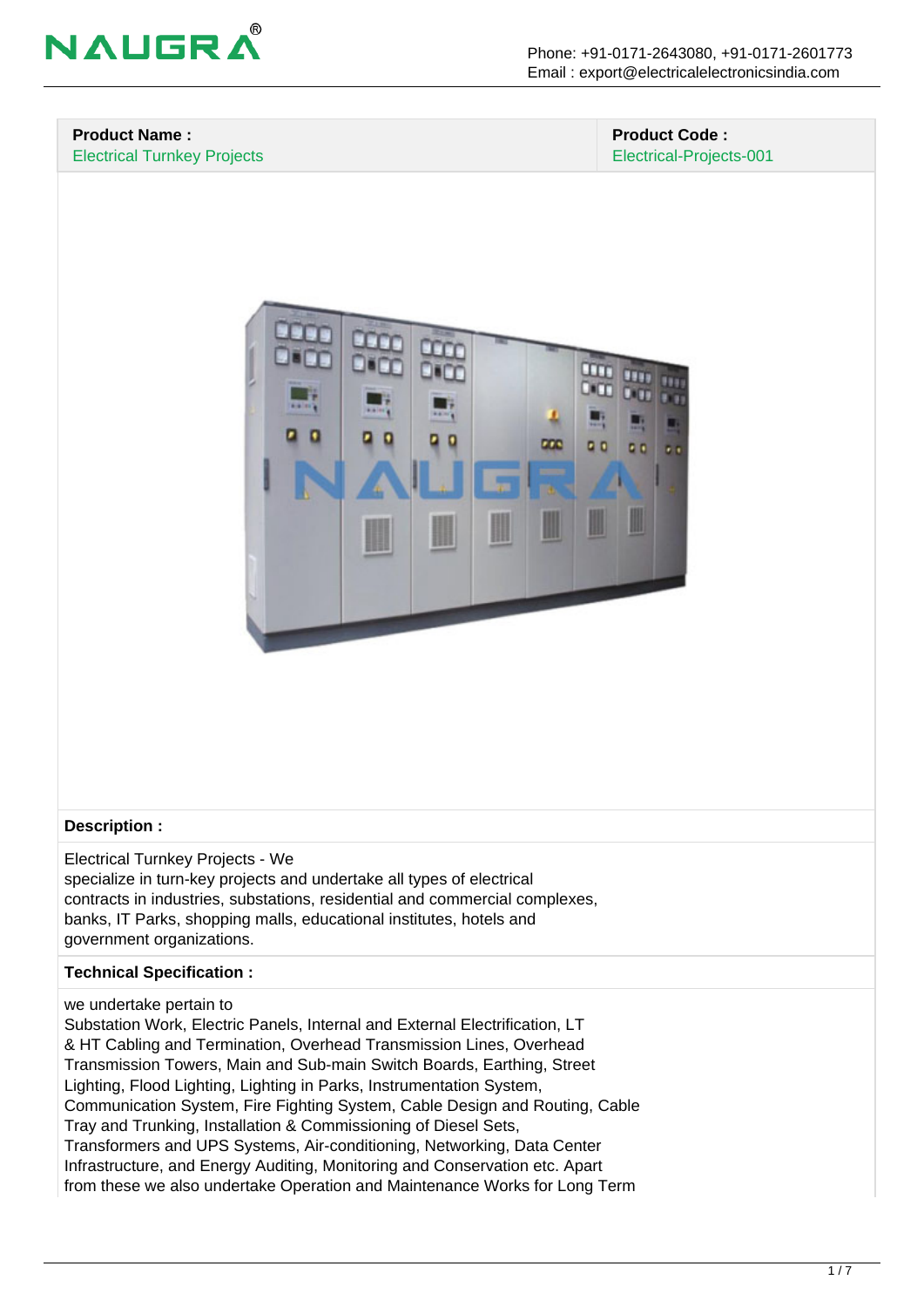

#### **Product Name :** Electrical Turnkey Projects

#### **Product Code :** Electrical-Projects-001



# **Description :**

Electrical Turnkey Projects - We specialize in turn-key projects and undertake all types of electrical contracts in industries, substations, residential and commercial complexes, banks, IT Parks, shopping malls, educational institutes, hotels and government organizations.

#### **Technical Specification :**

#### we undertake pertain to

Substation Work, Electric Panels, Internal and External Electrification, LT & HT Cabling and Termination, Overhead Transmission Lines, Overhead Transmission Towers, Main and Sub-main Switch Boards, Earthing, Street Lighting, Flood Lighting, Lighting in Parks, Instrumentation System, Communication System, Fire Fighting System, Cable Design and Routing, Cable Tray and Trunking, Installation & Commissioning of Diesel Sets, Transformers and UPS Systems, Air-conditioning, Networking, Data Center Infrastructure, and Energy Auditing, Monitoring and Conservation etc. Apart from these we also undertake Operation and Maintenance Works for Long Term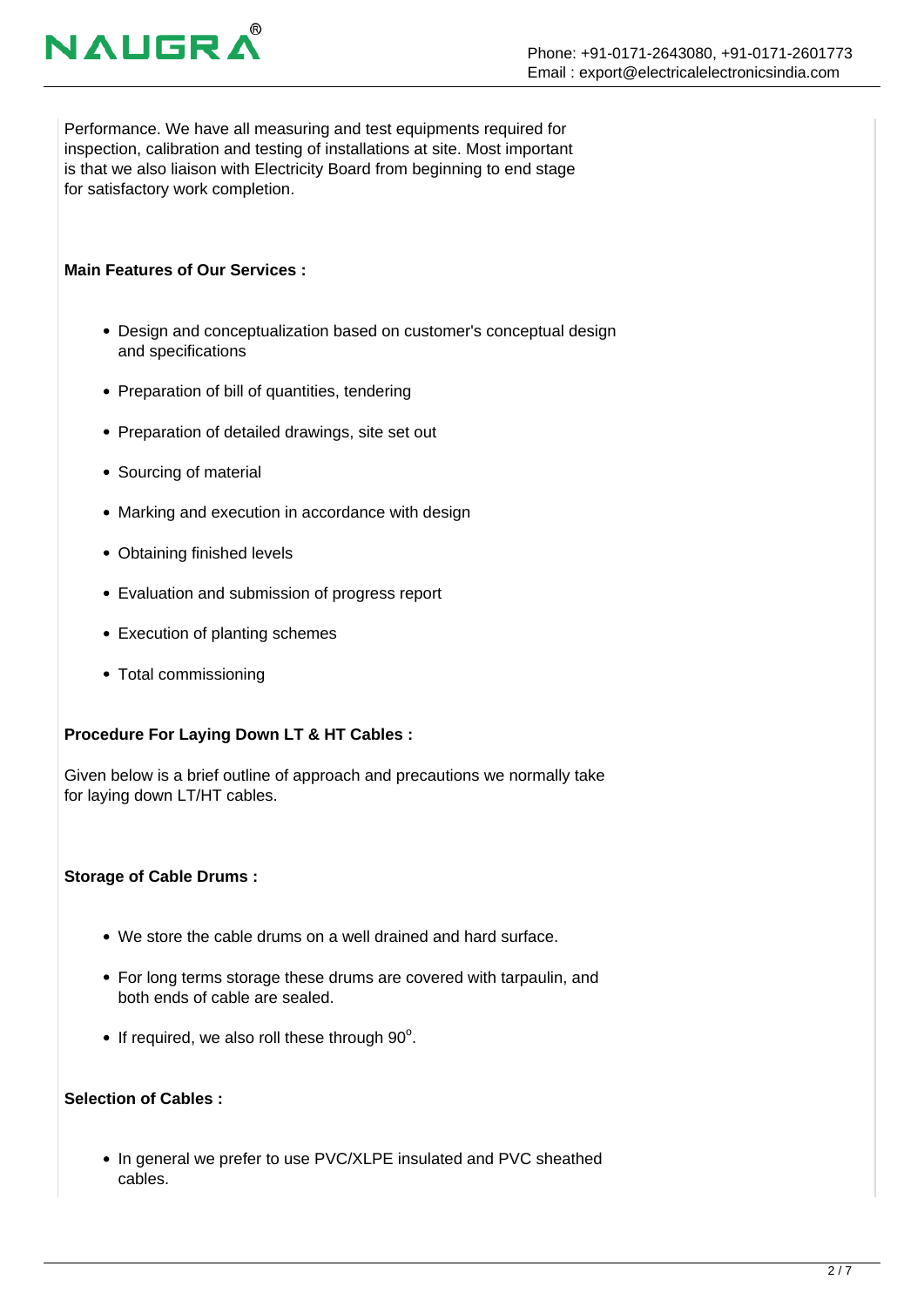# **NAUGR**

Performance. We have all measuring and test equipments required for inspection, calibration and testing of installations at site. Most important is that we also liaison with Electricity Board from beginning to end stage for satisfactory work completion.

# **Main Features of Our Services :**

- Design and conceptualization based on customer's conceptual design and specifications
- Preparation of bill of quantities, tendering
- Preparation of detailed drawings, site set out
- Sourcing of material
- Marking and execution in accordance with design
- Obtaining finished levels
- Evaluation and submission of progress report
- Execution of planting schemes
- Total commissioning

# **Procedure For Laying Down LT & HT Cables :**

Given below is a brief outline of approach and precautions we normally take for laying down LT/HT cables.

# **Storage of Cable Drums :**

- We store the cable drums on a well drained and hard surface.
- For long terms storage these drums are covered with tarpaulin, and both ends of cable are sealed.
- If required, we also roll these through  $90^\circ$ .

# **Selection of Cables :**

• In general we prefer to use PVC/XLPE insulated and PVC sheathed cables.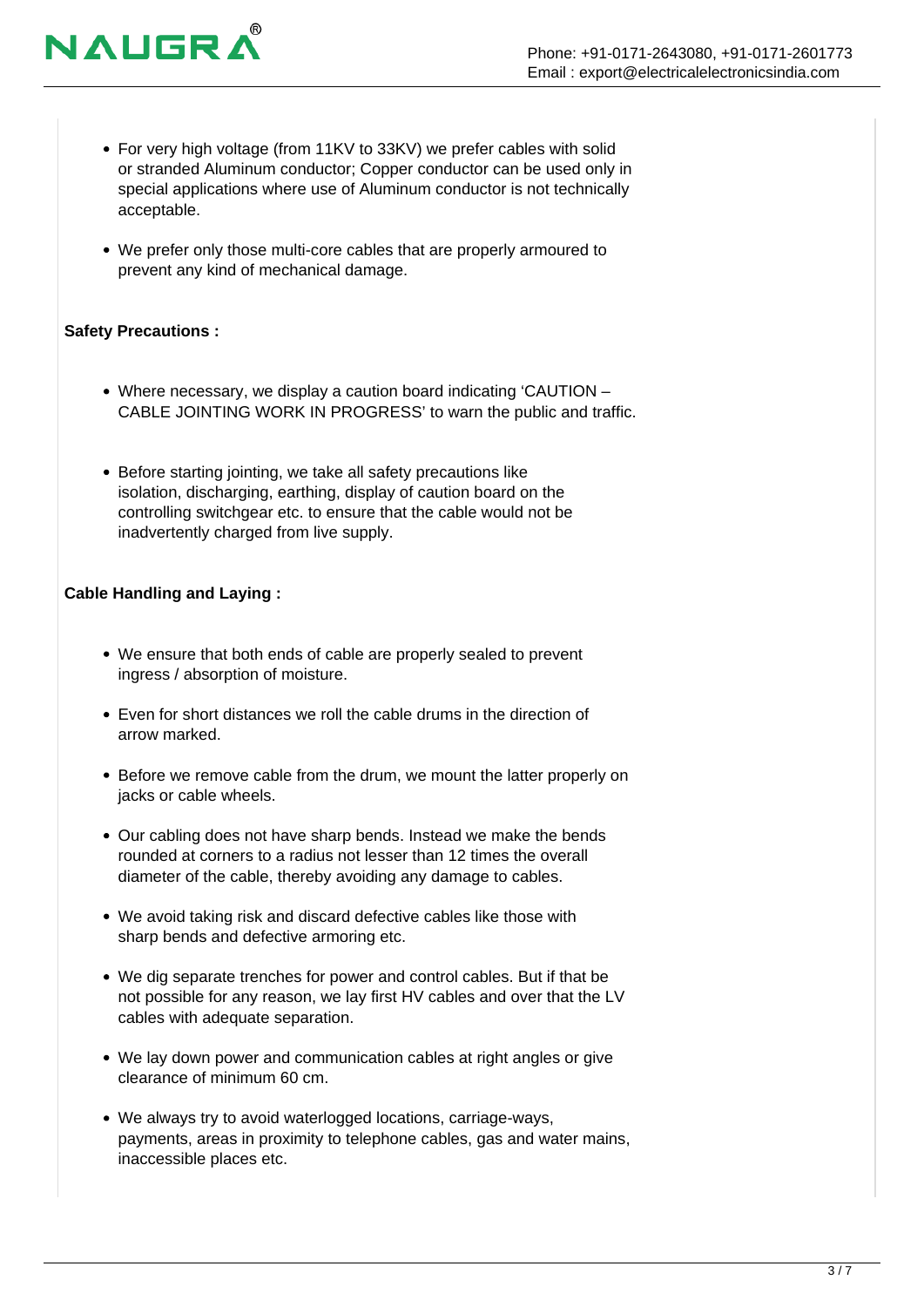- For very high voltage (from 11KV to 33KV) we prefer cables with solid or stranded Aluminum conductor; Copper conductor can be used only in special applications where use of Aluminum conductor is not technically acceptable.
- We prefer only those multi-core cables that are properly armoured to prevent any kind of mechanical damage.

#### **Safety Precautions :**

**NAUGR** 

- Where necessary, we display a caution board indicating 'CAUTION CABLE JOINTING WORK IN PROGRESS' to warn the public and traffic.
- Before starting jointing, we take all safety precautions like isolation, discharging, earthing, display of caution board on the controlling switchgear etc. to ensure that the cable would not be inadvertently charged from live supply.

# **Cable Handling and Laying :**

- We ensure that both ends of cable are properly sealed to prevent ingress / absorption of moisture.
- Even for short distances we roll the cable drums in the direction of arrow marked.
- Before we remove cable from the drum, we mount the latter properly on jacks or cable wheels.
- Our cabling does not have sharp bends. Instead we make the bends rounded at corners to a radius not lesser than 12 times the overall diameter of the cable, thereby avoiding any damage to cables.
- We avoid taking risk and discard defective cables like those with sharp bends and defective armoring etc.
- We dig separate trenches for power and control cables. But if that be not possible for any reason, we lay first HV cables and over that the LV cables with adequate separation.
- We lay down power and communication cables at right angles or give clearance of minimum 60 cm.
- We always try to avoid waterlogged locations, carriage-ways, payments, areas in proximity to telephone cables, gas and water mains, inaccessible places etc.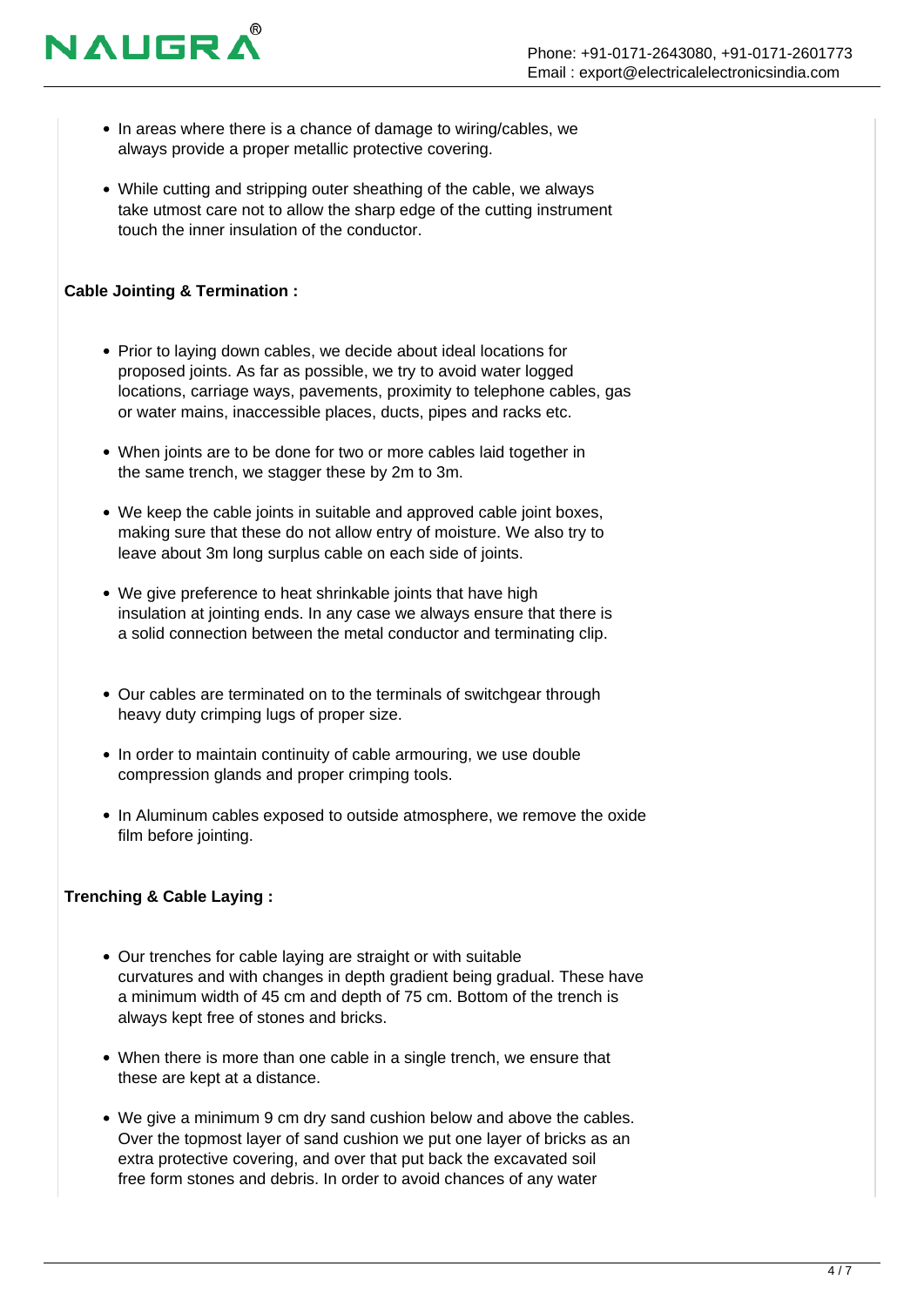

- In areas where there is a chance of damage to wiring/cables, we always provide a proper metallic protective covering.
- While cutting and stripping outer sheathing of the cable, we always take utmost care not to allow the sharp edge of the cutting instrument touch the inner insulation of the conductor.

# **Cable Jointing & Termination :**

- Prior to laying down cables, we decide about ideal locations for proposed joints. As far as possible, we try to avoid water logged locations, carriage ways, pavements, proximity to telephone cables, gas or water mains, inaccessible places, ducts, pipes and racks etc.
- When joints are to be done for two or more cables laid together in the same trench, we stagger these by 2m to 3m.
- We keep the cable joints in suitable and approved cable joint boxes, making sure that these do not allow entry of moisture. We also try to leave about 3m long surplus cable on each side of joints.
- We give preference to heat shrinkable joints that have high insulation at jointing ends. In any case we always ensure that there is a solid connection between the metal conductor and terminating clip.
- Our cables are terminated on to the terminals of switchgear through heavy duty crimping lugs of proper size.
- In order to maintain continuity of cable armouring, we use double compression glands and proper crimping tools.
- In Aluminum cables exposed to outside atmosphere, we remove the oxide film before jointing.

# **Trenching & Cable Laying :**

- Our trenches for cable laying are straight or with suitable curvatures and with changes in depth gradient being gradual. These have a minimum width of 45 cm and depth of 75 cm. Bottom of the trench is always kept free of stones and bricks.
- When there is more than one cable in a single trench, we ensure that these are kept at a distance.
- We give a minimum 9 cm dry sand cushion below and above the cables. Over the topmost layer of sand cushion we put one layer of bricks as an extra protective covering, and over that put back the excavated soil free form stones and debris. In order to avoid chances of any water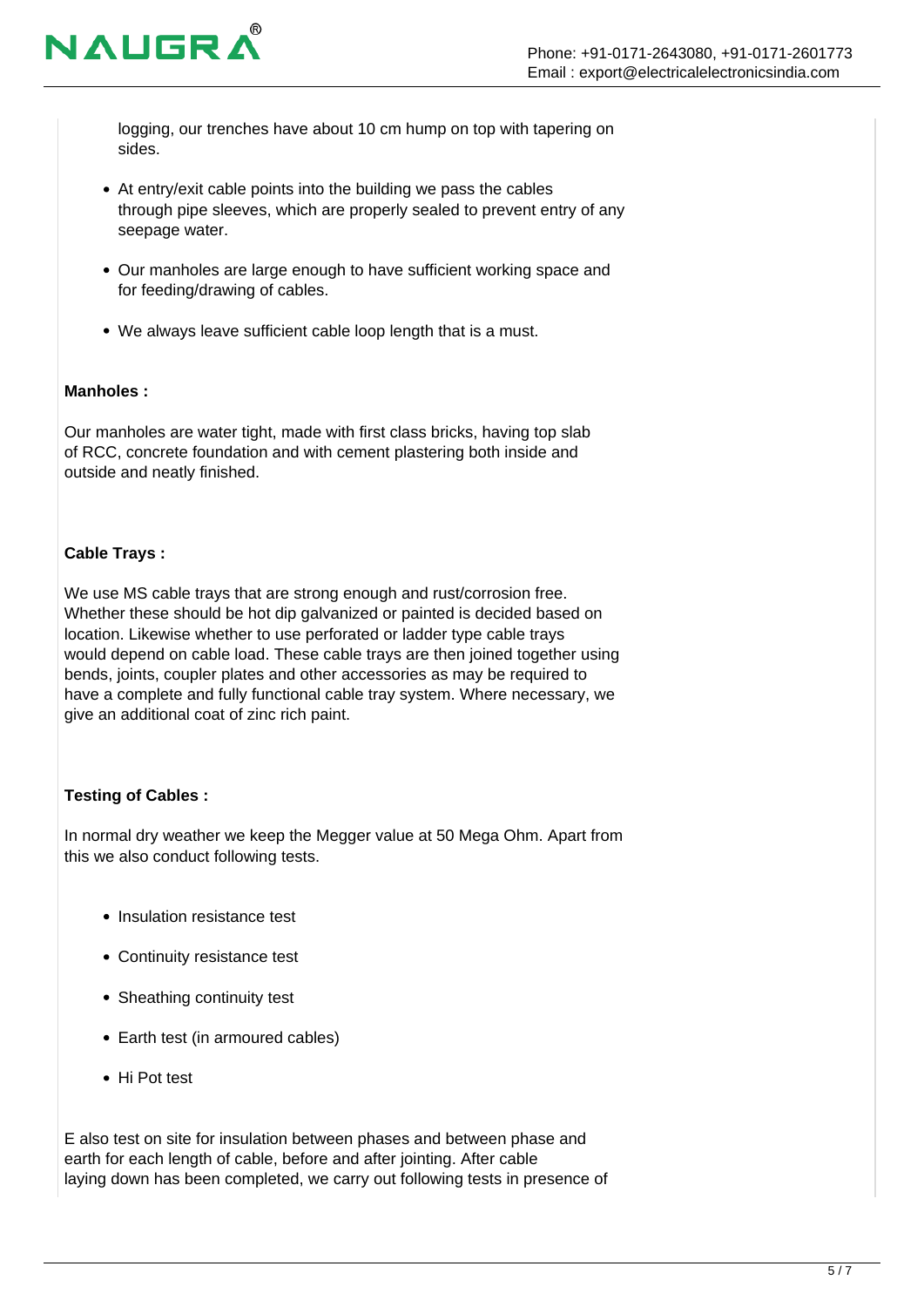

logging, our trenches have about 10 cm hump on top with tapering on sides.

- At entry/exit cable points into the building we pass the cables through pipe sleeves, which are properly sealed to prevent entry of any seepage water.
- Our manholes are large enough to have sufficient working space and for feeding/drawing of cables.
- We always leave sufficient cable loop length that is a must.

#### **Manholes :**

Our manholes are water tight, made with first class bricks, having top slab of RCC, concrete foundation and with cement plastering both inside and outside and neatly finished.

# **Cable Trays :**

We use MS cable trays that are strong enough and rust/corrosion free. Whether these should be hot dip galvanized or painted is decided based on location. Likewise whether to use perforated or ladder type cable trays would depend on cable load. These cable trays are then joined together using bends, joints, coupler plates and other accessories as may be required to have a complete and fully functional cable tray system. Where necessary, we give an additional coat of zinc rich paint.

# **Testing of Cables :**

In normal dry weather we keep the Megger value at 50 Mega Ohm. Apart from this we also conduct following tests.

- Insulation resistance test
- Continuity resistance test
- Sheathing continuity test
- Earth test (in armoured cables)
- Hi Pot test

E also test on site for insulation between phases and between phase and earth for each length of cable, before and after jointing. After cable laying down has been completed, we carry out following tests in presence of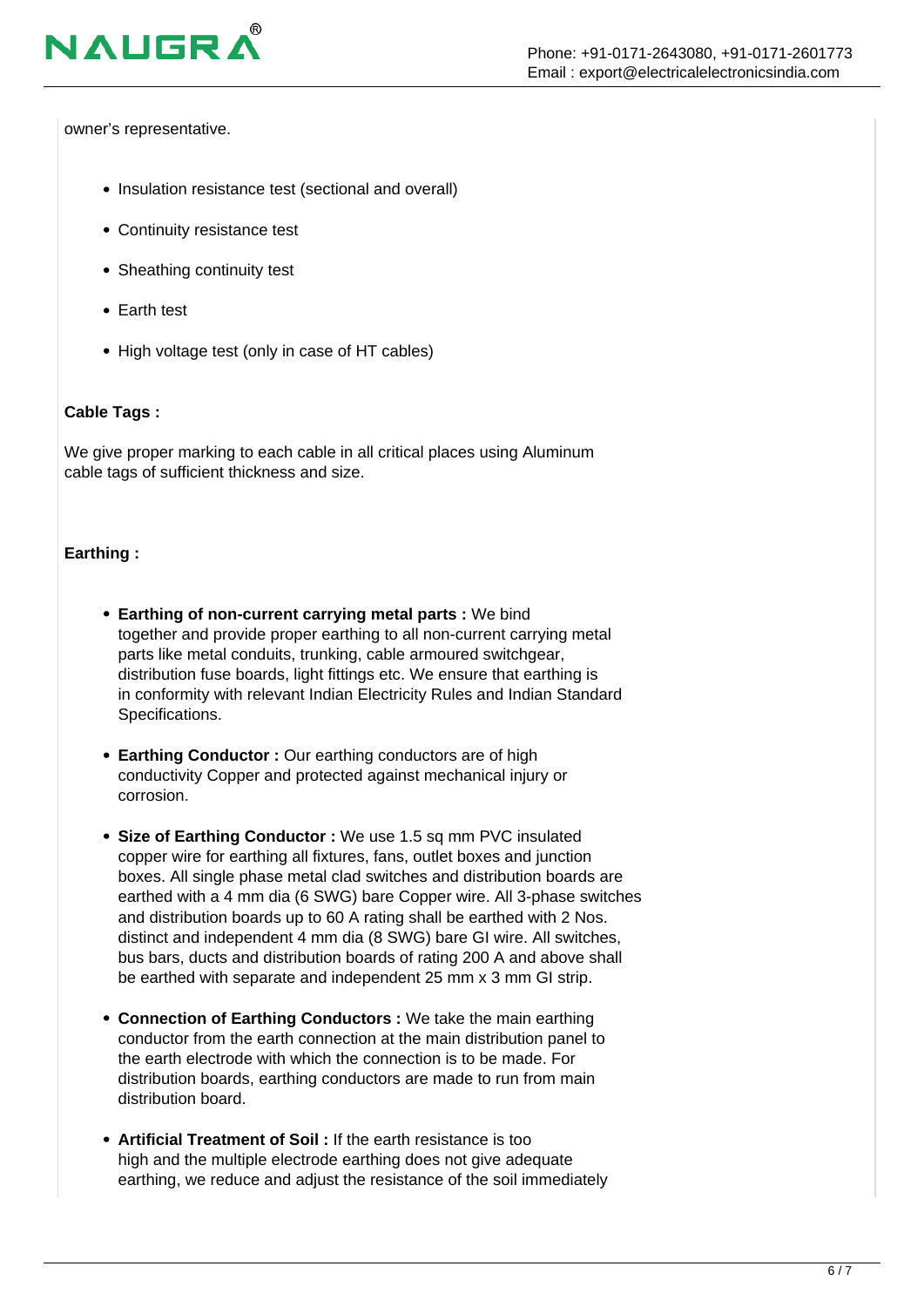

owner's representative.

- Insulation resistance test (sectional and overall)
- Continuity resistance test
- Sheathing continuity test
- Earth test
- High voltage test (only in case of HT cables)

#### **Cable Tags :**

We give proper marking to each cable in all critical places using Aluminum cable tags of sufficient thickness and size.

#### **Earthing :**

- **Earthing of non-current carrying metal parts :** We bind together and provide proper earthing to all non-current carrying metal parts like metal conduits, trunking, cable armoured switchgear, distribution fuse boards, light fittings etc. We ensure that earthing is in conformity with relevant Indian Electricity Rules and Indian Standard Specifications.
- **Earthing Conductor :** Our earthing conductors are of high conductivity Copper and protected against mechanical injury or corrosion.
- **Size of Earthing Conductor :** We use 1.5 sq mm PVC insulated copper wire for earthing all fixtures, fans, outlet boxes and junction boxes. All single phase metal clad switches and distribution boards are earthed with a 4 mm dia (6 SWG) bare Copper wire. All 3-phase switches and distribution boards up to 60 A rating shall be earthed with 2 Nos. distinct and independent 4 mm dia (8 SWG) bare GI wire. All switches, bus bars, ducts and distribution boards of rating 200 A and above shall be earthed with separate and independent 25 mm x 3 mm GI strip.
- **Connection of Earthing Conductors :** We take the main earthing conductor from the earth connection at the main distribution panel to the earth electrode with which the connection is to be made. For distribution boards, earthing conductors are made to run from main distribution board.
- **Artificial Treatment of Soil :** If the earth resistance is too high and the multiple electrode earthing does not give adequate earthing, we reduce and adjust the resistance of the soil immediately